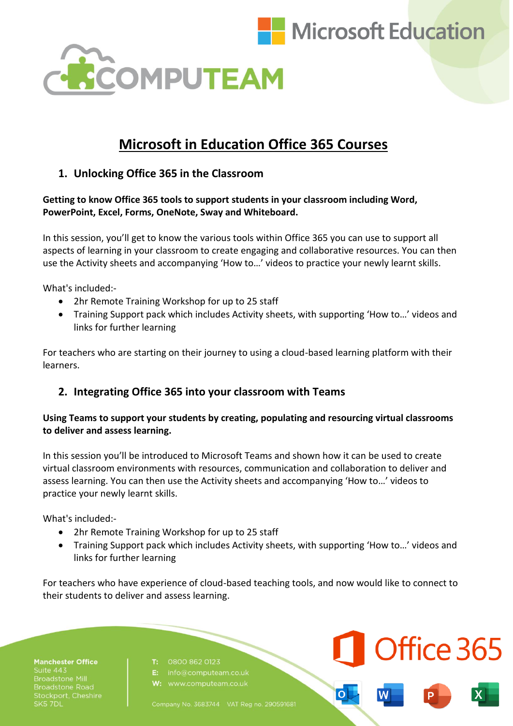

Office 365



# **Microsoft in Education Office 365 Courses**

# **1. Unlocking Office 365 in the Classroom**

**Getting to know Office 365 tools to support students in your classroom including Word, PowerPoint, Excel, Forms, OneNote, Sway and Whiteboard.** 

In this session, you'll get to know the various tools within Office 365 you can use to support all aspects of learning in your classroom to create engaging and collaborative resources. You can then use the Activity sheets and accompanying 'How to…' videos to practice your newly learnt skills.

What's included:-

- 2hr Remote Training Workshop for up to 25 staff
- Training Support pack which includes Activity sheets, with supporting 'How to…' videos and links for further learning

For teachers who are starting on their journey to using a cloud-based learning platform with their learners.

# **2. Integrating Office 365 into your classroom with Teams**

### **Using Teams to support your students by creating, populating and resourcing virtual classrooms to deliver and assess learning.**

In this session you'll be introduced to Microsoft Teams and shown how it can be used to create virtual classroom environments with resources, communication and collaboration to deliver and assess learning. You can then use the Activity sheets and accompanying 'How to…' videos to practice your newly learnt skills.

What's included:-

- 2hr Remote Training Workshop for up to 25 staff
- Training Support pack which includes Activity sheets, with supporting 'How to…' videos and links for further learning

For teachers who have experience of cloud-based teaching tools, and now would like to connect to their students to deliver and assess learning.

**Manchester Office** Suite 443 <mark>iroadstone Road</mark><br>.tockport, Cheshire SK5 7DL

#### T: 0800 862 0123

Company No. 3683744 VAT Reg no. 290591681